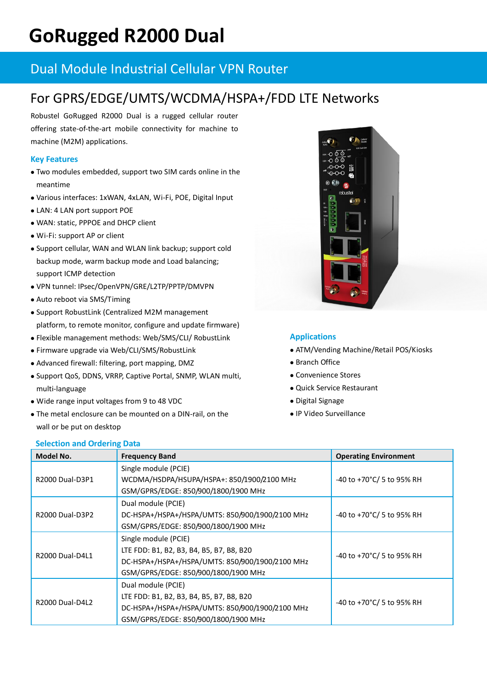# **GoRugged R2000 Dual**

# Dual Module Industrial Cellular VPN Router

# For GPRS/EDGE/UMTS/WCDMA/HSPA+/FDD LTE Networks

Robustel GoRugged R2000 Dual is a rugged cellular router offering state-of-the-art mobile connectivity for machine to machine (M2M) applications.

# **Key Features**

- Two modules embedded, support two SIM cards online in the meantime
- Various interfaces: 1xWAN, 4xLAN, Wi-Fi, POE, Digital Input
- LAN: 4 LAN port support POE
- WAN: static, PPPOE and DHCP client
- Wi-Fi: support AP or client
- Support cellular, WAN and WLAN link backup; support cold backup mode, warm backup mode and Load balancing; support ICMP detection
- VPN tunnel: IPsec/OpenVPN/GRE/L2TP/PPTP/DMVPN
- Auto reboot via SMS/Timing
- Support RobustLink (Centralized M2M management platform, to remote monitor, configure and update firmware)
- Flexible management methods: Web/SMS/CLI/ RobustLink
- Firmware upgrade via Web/CLI/SMS/RobustLink
- Advanced firewall: filtering, port mapping, DMZ
- Support QoS, DDNS, VRRP, Captive Portal, SNMP, WLAN multi, multi-language
- Wide range input voltages from 9 to 48 VDC

**Selection and Ordering Data**

 The metal enclosure can be mounted on a DIN-rail, on the wall or be put on desktop



# **Applications**

- ATM/Vending Machine/Retail POS/Kiosks
- Branch Office
- Convenience Stores
- Quick Service Restaurant
- Digital Signage
- IP Video Surveillance

| Model No.              | <b>Frequency Band</b>                           | <b>Operating Environment</b> |
|------------------------|-------------------------------------------------|------------------------------|
| R2000 Dual-D3P1        | Single module (PCIE)                            |                              |
|                        | WCDMA/HSDPA/HSUPA/HSPA+: 850/1900/2100 MHz      | -40 to +70°C/ 5 to 95% RH    |
|                        | GSM/GPRS/EDGE: 850/900/1800/1900 MHz            |                              |
| R2000 Dual-D3P2        | Dual module (PCIE)                              |                              |
|                        | DC-HSPA+/HSPA+/HSPA/UMTS: 850/900/1900/2100 MHz | -40 to +70°C/ 5 to 95% RH    |
|                        | GSM/GPRS/EDGE: 850/900/1800/1900 MHz            |                              |
| R2000 Dual-D4L1        | Single module (PCIE)                            | -40 to +70°C/ 5 to 95% RH    |
|                        | LTE FDD: B1, B2, B3, B4, B5, B7, B8, B20        |                              |
|                        | DC-HSPA+/HSPA+/HSPA/UMTS: 850/900/1900/2100 MHz |                              |
|                        | GSM/GPRS/EDGE: 850/900/1800/1900 MHz            |                              |
| <b>R2000 Dual-D4L2</b> | Dual module (PCIE)                              |                              |
|                        | LTE FDD: B1, B2, B3, B4, B5, B7, B8, B20        | -40 to +70°C/ 5 to 95% RH    |
|                        | DC-HSPA+/HSPA+/HSPA/UMTS: 850/900/1900/2100 MHz |                              |
|                        | GSM/GPRS/EDGE: 850/900/1800/1900 MHz            |                              |